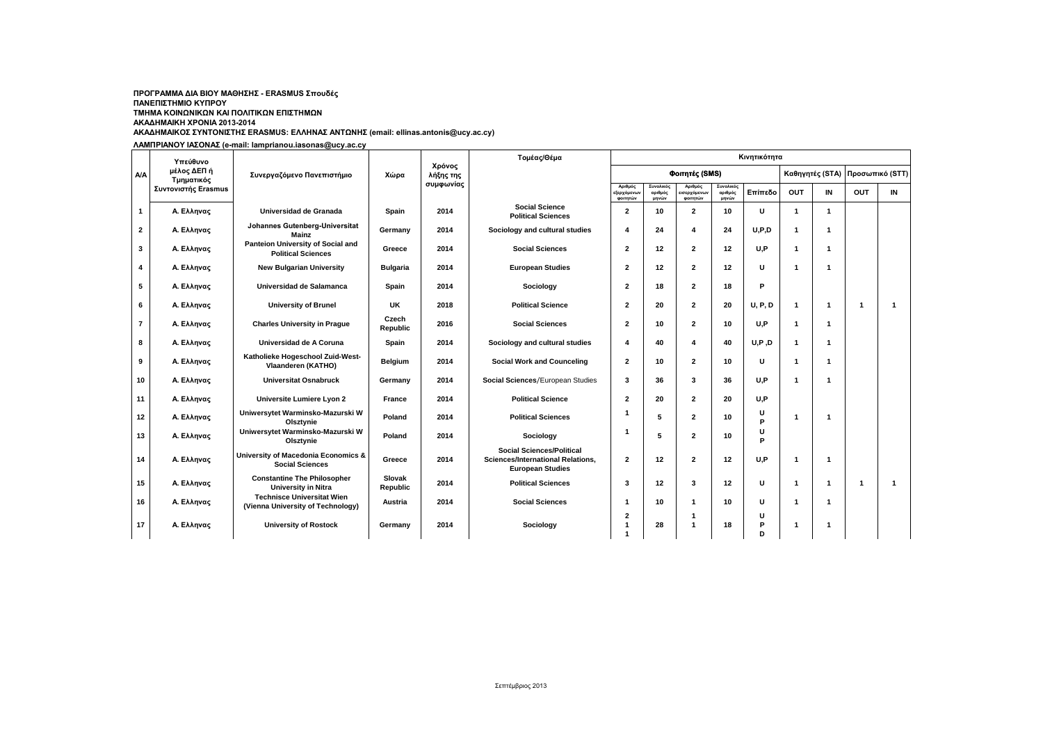## **ΑΚΑΔΗΜΑΙΚΟΣ ΣΥΝΤΟΝΙΣΤΗΣ ERASMUS: ΕΛΛΗΝΑΣ ΑΝΤΩΝΗΣ (email: ellinas.antonis@ucy.ac.cy) ΠΡΟΓΡΑΜΜΑ ΔΙΑ ΒΙΟΥ ΜΑΘΗΣΗΣ - ERASMUS Σπουδές ΠΑΝΕΠΙΣΤΗΜΙΟ ΚΥΠΡΟΥ ΤΜΗΜΑ ΚΟΙΝΩΝΙΚΩΝ ΚΑΙ ΠΟΛΙΤΙΚΩΝ ΕΠΙΣΤΗΜΩΝ ΑΚΑΔΗΜΑΙΚΗ ΧΡΟΝΙΑ 2013-2014**

**ΛΑΜΠΡΙΑΝΟΥ ΙΑΣΟΝΑΣ (e-mail: lamprianou.iasonas@ucy.ac.cy**

| A/A            | Υπεύθυνο<br>μέλος ΔΕΠ ή<br>Τμηματικός<br>Συντονιστής Erasmus | Συνεργαζόμενο Πανεπιστήμιο                                               | Χώρα               | Χρόνος<br>λήξης της<br>συμφωνίας | Κινητικότητα<br>Τομέας/Θέμα                                                                      |                                         |                               |                                          |                               |              |                 |              |                 |              |  |  |
|----------------|--------------------------------------------------------------|--------------------------------------------------------------------------|--------------------|----------------------------------|--------------------------------------------------------------------------------------------------|-----------------------------------------|-------------------------------|------------------------------------------|-------------------------------|--------------|-----------------|--------------|-----------------|--------------|--|--|
|                |                                                              |                                                                          |                    |                                  |                                                                                                  | Φοιτητές (SMS)                          |                               |                                          |                               |              | Καθηγητές (STA) |              | Προσωπικό (STT) |              |  |  |
|                |                                                              |                                                                          |                    |                                  |                                                                                                  | Αριθμός<br>.<br>εξερχόμενων<br>ΦΟΙΤΠΤών | Συνολικός<br>αριθμός<br>μηνών | Αριθμός<br>.<br>εισερχόμενων<br>φοιτητών | Συνολικός<br>αριθμός<br>μηνών | Επίπεδο      | OUT             | IN           | <b>OUT</b>      | IN           |  |  |
| $\mathbf{1}$   | Α. Ελληνας                                                   | Universidad de Granada                                                   | Spain              | 2014                             | <b>Social Science</b><br><b>Political Sciences</b>                                               | $\overline{\mathbf{2}}$                 | 10                            | $\overline{2}$                           | 10                            | U            | $\mathbf 1$     | $\mathbf{1}$ |                 |              |  |  |
| $\mathbf{2}$   | Α. Ελληνας                                                   | Johannes Gutenberg-Universitat<br>Mainz                                  | Germany            | 2014                             | Sociology and cultural studies                                                                   | $\overline{4}$                          | 24                            | 4                                        | 24                            | U, P, D      | -1              | -1           |                 |              |  |  |
| 3              | Α. Ελληνας                                                   | Panteion University of Social and<br><b>Political Sciences</b>           | Greece             | 2014                             | <b>Social Sciences</b>                                                                           | $\overline{2}$                          | 12                            | $\mathbf{2}$                             | 12                            | U.P          | -1              | -1           |                 |              |  |  |
| 4              | Α. Ελληνας                                                   | <b>New Bulgarian University</b>                                          | <b>Bulgaria</b>    | 2014                             | <b>European Studies</b>                                                                          | $\overline{2}$                          | 12                            | 2                                        | 12                            | U            | -1              | -1           |                 |              |  |  |
| 5              | Α. Ελληνας                                                   | Universidad de Salamanca                                                 | Spain              | 2014                             | Sociology                                                                                        | $\overline{2}$                          | 18                            | $\mathbf{2}$                             | 18                            | P            |                 |              |                 |              |  |  |
| 6              | Α. Ελληνας                                                   | <b>University of Brunel</b>                                              | UK                 | 2018                             | <b>Political Science</b>                                                                         | $\overline{2}$                          | 20                            | $\mathbf{2}$                             | 20                            | <b>U.P.D</b> | $\overline{1}$  | -1           | $\overline{1}$  | $\mathbf{1}$ |  |  |
| $\overline{7}$ | Α. Ελληνας                                                   | <b>Charles University in Prague</b>                                      | Czech<br>Republic  | 2016                             | <b>Social Sciences</b>                                                                           | $\overline{2}$                          | 10                            | 2                                        | 10                            | U.P          | -1              | -1           |                 |              |  |  |
| 8              | Α. Ελληνας                                                   | Universidad de A Coruna                                                  | Spain              | 2014                             | Sociology and cultural studies                                                                   | 4                                       | 40                            | 4                                        | 40                            | U, P, D      | -1              | -1           |                 |              |  |  |
| 9              | Α. Ελληνας                                                   | Katholieke Hogeschool Zuid-West-<br>Vlaanderen (KATHO)                   | Belgium            | 2014                             | <b>Social Work and Counceling</b>                                                                | $\overline{2}$                          | 10                            | 2                                        | 10                            | U            | ۰               |              |                 |              |  |  |
| 10             | Α. Ελληνας                                                   | <b>Universitat Osnabruck</b>                                             | Germany            | 2014                             | Social Sciences/European Studies                                                                 | 3                                       | 36                            | 3                                        | 36                            | U.P          | $\overline{1}$  | $\mathbf 1$  |                 |              |  |  |
| 11             | Α. Ελληνας                                                   | Universite Lumiere Lyon 2                                                | <b>France</b>      | 2014                             | <b>Political Science</b>                                                                         | $\overline{2}$                          | 20                            | $\mathbf{2}$                             | 20                            | U.P          |                 |              |                 |              |  |  |
| 12             | Α. Ελληνας                                                   | Uniwersytet Warminsko-Mazurski W<br>Olsztynie                            | Poland             | 2014                             | <b>Political Sciences</b>                                                                        | f                                       | 5                             | $\mathbf{2}$                             | 10                            | U<br>P       | -1              | -1           |                 |              |  |  |
| 13             | Α. Ελληνας                                                   | Uniwersytet Warminsko-Mazurski W<br>Olsztynie                            | Poland             | 2014                             | Sociology                                                                                        | -1                                      | 5                             | $\mathbf{z}$                             | 10                            | U<br>P       |                 |              |                 |              |  |  |
| 14             | Α. Ελληνας                                                   | <b>University of Macedonia Economics &amp;</b><br><b>Social Sciences</b> | Greece             | 2014                             | <b>Social Sciences/Political</b><br>Sciences/International Relations,<br><b>European Studies</b> | $\overline{2}$                          | 12                            | $\mathbf{2}$                             | 12                            | U.P          | $\overline{1}$  | -1           |                 |              |  |  |
| 15             | Α. Ελληνας                                                   | <b>Constantine The Philosopher</b><br><b>University in Nitra</b>         | Slovak<br>Republic | 2014                             | <b>Political Sciences</b>                                                                        | 3                                       | 12                            | 3                                        | 12                            | U            | -1              | $\mathbf 1$  | $\overline{1}$  | $\mathbf{1}$ |  |  |
| 16             | Α. Ελληνας                                                   | <b>Technisce Universitat Wien</b><br>(Vienna University of Technology)   | Austria            | 2014                             | <b>Social Sciences</b>                                                                           | -1                                      | 10                            | 1                                        | 10                            | U            | 1               |              |                 |              |  |  |
| 17             | Α. Ελληνας                                                   | <b>University of Rostock</b>                                             | Germany            | 2014                             | Sociology                                                                                        | $\overline{2}$<br>1                     | 28                            | 1<br>$\overline{1}$                      | 18                            | U<br>P<br>D  | 1               |              |                 |              |  |  |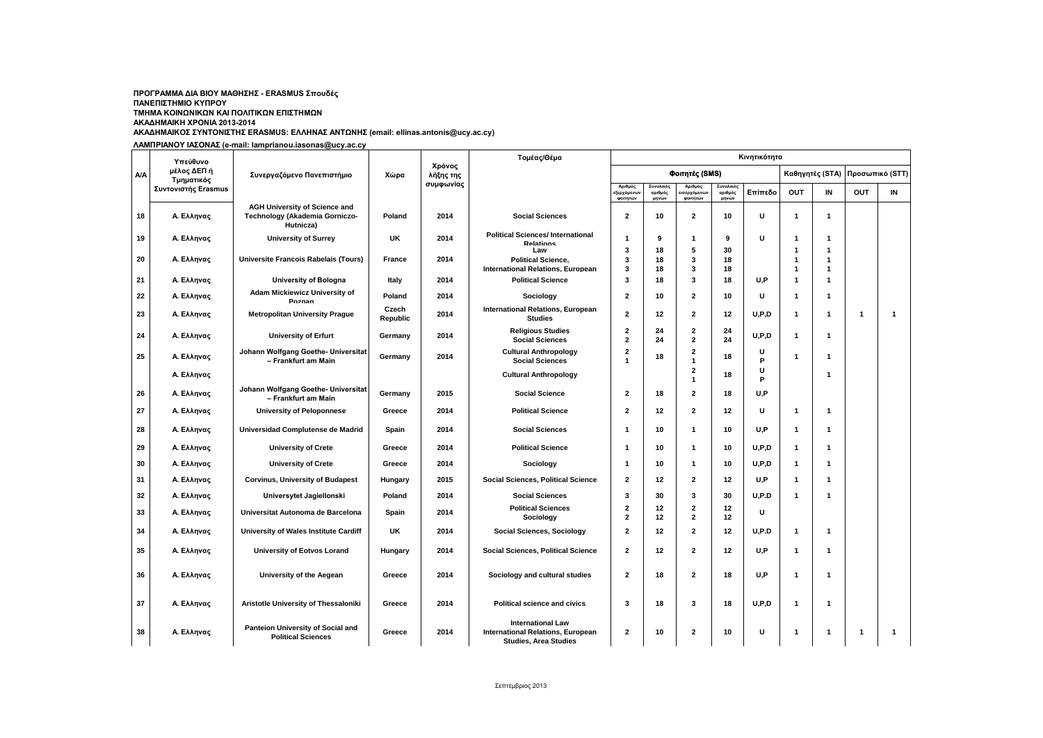## **ΑΚΑΔΗΜΑΙΚΟΣ ΣΥΝΤΟΝΙΣΤΗΣ ERASMUS: ΕΛΛΗΝΑΣ ΑΝΤΩΝΗΣ (email: ellinas.antonis@ucy.ac.cy) ΠΡΟΓΡΑΜΜΑ ΔΙΑ ΒΙΟΥ ΜΑΘΗΣΗΣ - ERASMUS Σπουδές ΠΑΝΕΠΙΣΤΗΜΙΟ ΚΥΠΡΟΥ ΤΜΗΜΑ ΚΟΙΝΩΝΙΚΩΝ ΚΑΙ ΠΟΛΙΤΙΚΩΝ ΕΠΙΣΤΗΜΩΝ ΑΚΑΔΗΜΑΙΚΗ ΧΡΟΝΙΑ 2013-2014**

**ΛΑΜΠΡΙΑΝΟΥ ΙΑΣΟΝΑΣ (e-mail: lamprianou.iasonas@ucy.ac.cy**

|     | Υπεύθυνο                  |                                                                                     |                   |                     | Τομέας/Θέμα                                                                                          | Κινητικότητα                                       |                      |                                                   |                      |         |                                           |                   |                 |    |
|-----|---------------------------|-------------------------------------------------------------------------------------|-------------------|---------------------|------------------------------------------------------------------------------------------------------|----------------------------------------------------|----------------------|---------------------------------------------------|----------------------|---------|-------------------------------------------|-------------------|-----------------|----|
| A/A | μέλος ΔΕΠ ή<br>Τμηματικός | Συνεργαζόμενο Πανεπιστήμιο                                                          | Χώρα              | Χρόνος<br>λήξης της |                                                                                                      |                                                    |                      | Φοιτητές (SMS)                                    |                      |         |                                           | Καθηγητές (STA)   | Προσωπικό (STT) |    |
|     | Συντονιστής Erasmus       |                                                                                     |                   | συμφωνίας           |                                                                                                      | Αριθμός<br>εξερχόμενων<br>φοιτητών                 | Συνολικός<br>αριθμός | Αριθμός<br><mark>εισερχόμενω</mark> ν<br>φοιτητών | Συνολικός<br>αριθμός | Επίπεδο | <b>OUT</b>                                | IN                | <b>OUT</b>      | IN |
| 18  | Α. Ελληνας                | <b>AGH University of Science and</b><br>Technology (Akademia Gorniczo-<br>Hutnicza) | Poland            | 2014                | <b>Social Sciences</b>                                                                               | $\overline{2}$                                     | μηνών<br>10          | $\overline{2}$                                    | μηνών<br>10          | U       | $\overline{\mathbf{1}}$                   | $\mathbf{1}$      |                 |    |
| 19  | Α. Ελληνας                | <b>University of Surrey</b>                                                         | UK                | 2014                | <b>Political Sciences/International</b><br><b>Relations</b><br>Law                                   | $\mathbf{1}$<br>3                                  | 9<br>18              | $\mathbf{1}$<br>5                                 | 9<br>30              | U       | $\overline{\mathbf{1}}$<br>-1             | -1<br>$\mathbf 1$ |                 |    |
| 20  | Α. Ελληνας                | Universite Francois Rabelais (Tours)                                                | <b>France</b>     | 2014                | <b>Political Science,</b><br><b>International Relations, European</b>                                | 3<br>3                                             | 18<br>18             | 3<br>3                                            | 18<br>18             |         | $\overline{\mathbf{1}}$<br>$\overline{1}$ | 1<br>$\mathbf 1$  |                 |    |
| 21  | Α. Ελληνας                | University of Bologna                                                               | Italy             | 2014                | <b>Political Science</b>                                                                             | 3                                                  | 18                   | 3                                                 | 18                   | U,P     | $\overline{\mathbf{1}}$                   | $\mathbf{1}$      |                 |    |
| 22  | Α. Ελληνας                | Adam Mickiewicz University of<br>Poznan                                             | Poland            | 2014                | Sociology                                                                                            | $\overline{2}$                                     | 10                   | $\mathbf{2}$                                      | 10                   | U       | $\overline{\mathbf{1}}$                   | -1                |                 |    |
| 23  | Α. Ελληνας                | <b>Metropolitan University Prague</b>                                               | Czech<br>Republic | 2014                | <b>International Relations, European</b><br><b>Studies</b>                                           | $\overline{2}$                                     | 12                   | $\mathbf{2}$                                      | 12                   | U, P, D | $\overline{\mathbf{1}}$                   | $\mathbf 1$       | $\overline{1}$  | 1  |
| 24  | Α. Ελληνας                | <b>University of Erfurt</b>                                                         | Germany           | 2014                | <b>Religious Studies</b><br><b>Social Sciences</b>                                                   | $\overline{2}$<br>$\overline{\mathbf{2}}$          | 24<br>24             | $\mathbf{2}$<br>$\mathbf{2}$                      | 24<br>24             | U, P, D | $\overline{\mathbf{1}}$                   | $\mathbf 1$       |                 |    |
| 25  | Α. Ελληνας                | Johann Wolfgang Goethe- Universitat<br>- Frankfurt am Main                          | Germany           | 2014                | <b>Cultural Anthropology</b><br><b>Social Sciences</b>                                               | $\overline{\mathbf{2}}$<br>$\mathbf{1}$            | 18                   | $\mathbf{2}$<br>$\mathbf{1}$                      | 18                   | U<br>P  | 1                                         | $\mathbf 1$       |                 |    |
|     | Α. Ελληνας                |                                                                                     |                   |                     | <b>Cultural Anthropology</b>                                                                         |                                                    |                      | $\mathbf{2}$<br>$\mathbf{1}$                      | 18                   | U<br>P  |                                           | -1                |                 |    |
| 26  | Α. Ελληνας                | Johann Wolfgang Goethe- Universitat<br>- Frankfurt am Main                          | Germany           | 2015                | <b>Social Science</b>                                                                                | $\mathbf{2}$                                       | 18                   | $\mathbf{2}$                                      | 18                   | U.P     |                                           |                   |                 |    |
| 27  | Α. Ελληνας                | <b>University of Peloponnese</b>                                                    | Greece            | 2014                | <b>Political Science</b>                                                                             | $\overline{2}$                                     | 12                   | $\overline{2}$                                    | 12                   | U       | $\overline{1}$                            | -1                |                 |    |
| 28  | Α. Ελληνας                | Universidad Complutense de Madrid                                                   | Spain             | 2014                | <b>Social Sciences</b>                                                                               | $\mathbf 1$                                        | 10                   | $\mathbf{1}$                                      | 10                   | U,P     | $\overline{\mathbf{1}}$                   | $\mathbf 1$       |                 |    |
| 29  | Α. Ελληνας                | <b>University of Crete</b>                                                          | Greece            | 2014                | <b>Political Science</b>                                                                             | $\mathbf 1$                                        | 10                   | $\mathbf{1}$                                      | 10                   | U, P, D | $\overline{\mathbf{1}}$                   | -1                |                 |    |
| 30  | Α. Ελληνας                | <b>University of Crete</b>                                                          | Greece            | 2014                | Sociology                                                                                            | $\mathbf{1}$                                       | 10                   | $\mathbf{1}$                                      | 10                   | U, P, D | $\overline{1}$                            | $\mathbf{1}$      |                 |    |
| 31  | Α. Ελληνας                | <b>Corvinus, University of Budapest</b>                                             | Hungary           | 2015                | <b>Social Sciences, Political Science</b>                                                            | $\overline{2}$                                     | 12                   | $\overline{2}$                                    | 12                   | U.P     | $\overline{1}$                            | $\mathbf{1}$      |                 |    |
| 32  | Α. Ελληνας                | Universytet Jagiellonski                                                            | Poland            | 2014                | <b>Social Sciences</b>                                                                               | 3                                                  | 30                   | 3                                                 | 30                   | U.P.D   | -1                                        | $\mathbf 1$       |                 |    |
| 33  | Α. Ελληνας                | Universitat Autonoma de Barcelona                                                   | Spain             | 2014                | <b>Political Sciences</b><br>Sociology                                                               | $\overline{\mathbf{2}}$<br>$\overline{\mathbf{2}}$ | 12<br>12             | $\mathbf{2}$<br>$\mathbf{2}$                      | 12<br>12             | U       |                                           |                   |                 |    |
| 34  | Α. Ελληνας                | University of Wales Institute Cardiff                                               | <b>UK</b>         | 2014                | <b>Social Sciences, Sociology</b>                                                                    | $\overline{2}$                                     | 12                   | $\overline{2}$                                    | 12                   | U.P.D   | $\overline{1}$                            | $\mathbf{1}$      |                 |    |
| 35  | Α. Ελληνας                | University of Eotvos Lorand                                                         | Hungary           | 2014                | <b>Social Sciences, Political Science</b>                                                            | $\overline{\mathbf{2}}$                            | 12                   | $\mathbf{2}$                                      | 12                   | U,P     | $\overline{1}$                            | -1                |                 |    |
| 36  | Α. Ελληνας                | University of the Aegean                                                            | Greece            | 2014                | Sociology and cultural studies                                                                       | $\overline{2}$                                     | 18                   | $\overline{2}$                                    | 18                   | U.P     | $\overline{\mathbf{1}}$                   | $\mathbf 1$       |                 |    |
| 37  | Α. Ελληνας                | Aristotle University of Thessaloniki                                                | Greece            | 2014                | <b>Political science and civics</b>                                                                  | 3                                                  | 18                   | 3                                                 | 18                   | U, P, D | 1                                         | $\mathbf 1$       |                 |    |
| 38  | Α. Ελληνας                | Panteion University of Social and<br><b>Political Sciences</b>                      | Greece            | 2014                | <b>International Law</b><br><b>International Relations, European</b><br><b>Studies, Area Studies</b> | $\overline{2}$                                     | 10                   | $\mathbf{2}$                                      | 10                   | U       | $\overline{1}$                            | $\mathbf 1$       | $\overline{1}$  | 1  |